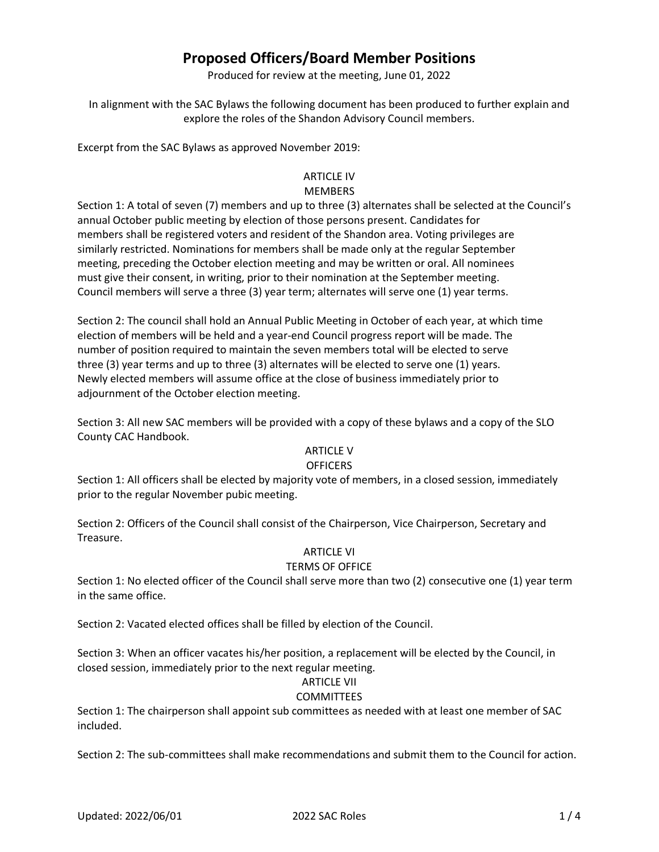## **Proposed Officers/Board Member Positions**

Produced for review at the meeting, June 01, 2022

In alignment with the SAC Bylaws the following document has been produced to further explain and explore the roles of the Shandon Advisory Council members.

Excerpt from the SAC Bylaws as approved November 2019:

# ARTICLE IV

## MEMBERS

Section 1: A total of seven (7) members and up to three (3) alternates shall be selected at the Council's annual October public meeting by election of those persons present. Candidates for members shall be registered voters and resident of the Shandon area. Voting privileges are similarly restricted. Nominations for members shall be made only at the regular September meeting, preceding the October election meeting and may be written or oral. All nominees must give their consent, in writing, prior to their nomination at the September meeting. Council members will serve a three (3) year term; alternates will serve one (1) year terms.

Section 2: The council shall hold an Annual Public Meeting in October of each year, at which time election of members will be held and a year-end Council progress report will be made. The number of position required to maintain the seven members total will be elected to serve three (3) year terms and up to three (3) alternates will be elected to serve one (1) years. Newly elected members will assume office at the close of business immediately prior to adjournment of the October election meeting.

Section 3: All new SAC members will be provided with a copy of these bylaws and a copy of the SLO County CAC Handbook.

## ARTICLE V

## **OFFICERS**

Section 1: All officers shall be elected by majority vote of members, in a closed session, immediately prior to the regular November pubic meeting.

Section 2: Officers of the Council shall consist of the Chairperson, Vice Chairperson, Secretary and Treasure.

## ARTICLE VI

## TERMS OF OFFICE

Section 1: No elected officer of the Council shall serve more than two (2) consecutive one (1) year term in the same office.

Section 2: Vacated elected offices shall be filled by election of the Council.

Section 3: When an officer vacates his/her position, a replacement will be elected by the Council, in closed session, immediately prior to the next regular meeting.

## ARTICLE VII

#### **COMMITTEES**

Section 1: The chairperson shall appoint sub committees as needed with at least one member of SAC included.

Section 2: The sub-committees shall make recommendations and submit them to the Council for action.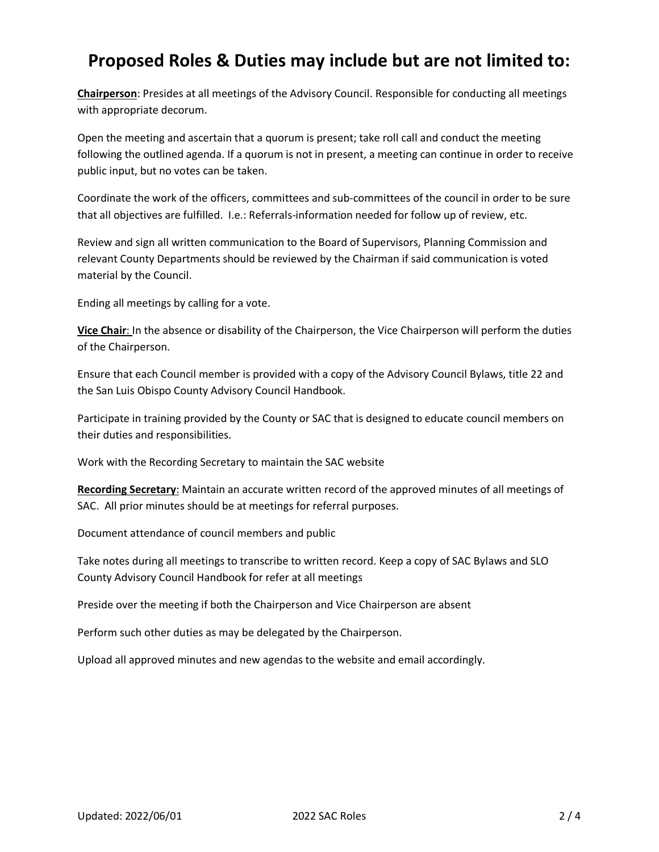# **Proposed Roles & Duties may include but are not limited to:**

**Chairperson**: Presides at all meetings of the Advisory Council. Responsible for conducting all meetings with appropriate decorum.

Open the meeting and ascertain that a quorum is present; take roll call and conduct the meeting following the outlined agenda. If a quorum is not in present, a meeting can continue in order to receive public input, but no votes can be taken.

Coordinate the work of the officers, committees and sub-committees of the council in order to be sure that all objectives are fulfilled. I.e.: Referrals-information needed for follow up of review, etc.

Review and sign all written communication to the Board of Supervisors, Planning Commission and relevant County Departments should be reviewed by the Chairman if said communication is voted material by the Council.

Ending all meetings by calling for a vote.

**Vice Chair**: In the absence or disability of the Chairperson, the Vice Chairperson will perform the duties of the Chairperson.

Ensure that each Council member is provided with a copy of the Advisory Council Bylaws, title 22 and the San Luis Obispo County Advisory Council Handbook.

Participate in training provided by the County or SAC that is designed to educate council members on their duties and responsibilities.

Work with the Recording Secretary to maintain the SAC website

**Recording Secretary**: Maintain an accurate written record of the approved minutes of all meetings of SAC. All prior minutes should be at meetings for referral purposes.

Document attendance of council members and public

Take notes during all meetings to transcribe to written record. Keep a copy of SAC Bylaws and SLO County Advisory Council Handbook for refer at all meetings

Preside over the meeting if both the Chairperson and Vice Chairperson are absent

Perform such other duties as may be delegated by the Chairperson.

Upload all approved minutes and new agendas to the website and email accordingly.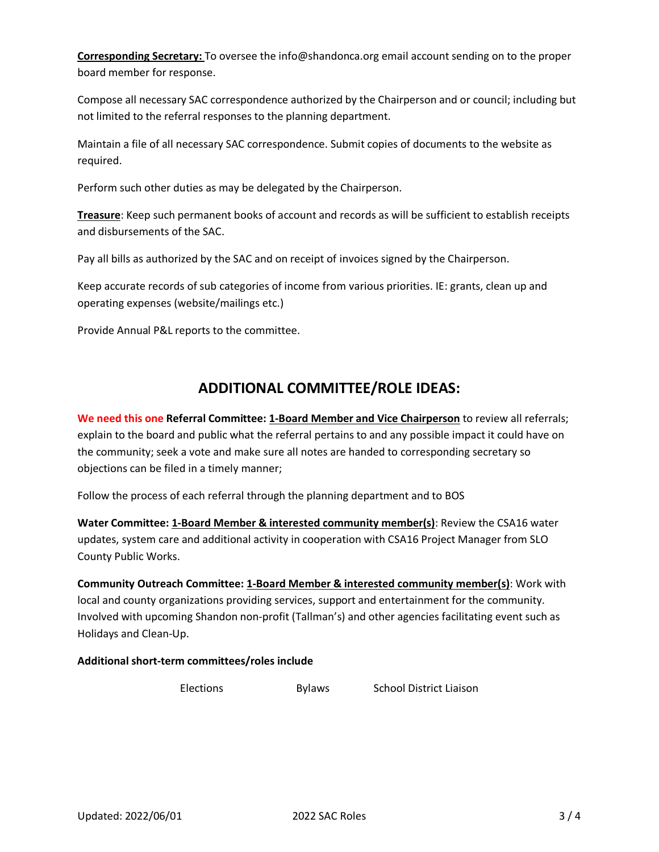**Corresponding Secretary:** To oversee the info@shandonca.org email account sending on to the proper board member for response.

Compose all necessary SAC correspondence authorized by the Chairperson and or council; including but not limited to the referral responses to the planning department.

Maintain a file of all necessary SAC correspondence. Submit copies of documents to the website as required.

Perform such other duties as may be delegated by the Chairperson.

**Treasure**: Keep such permanent books of account and records as will be sufficient to establish receipts and disbursements of the SAC.

Pay all bills as authorized by the SAC and on receipt of invoices signed by the Chairperson.

Keep accurate records of sub categories of income from various priorities. IE: grants, clean up and operating expenses (website/mailings etc.)

Provide Annual P&L reports to the committee.

## **ADDITIONAL COMMITTEE/ROLE IDEAS:**

**We need this one Referral Committee: 1-Board Member and Vice Chairperson** to review all referrals; explain to the board and public what the referral pertains to and any possible impact it could have on the community; seek a vote and make sure all notes are handed to corresponding secretary so objections can be filed in a timely manner;

Follow the process of each referral through the planning department and to BOS

**Water Committee: 1-Board Member & interested community member(s)**: Review the CSA16 water updates, system care and additional activity in cooperation with CSA16 Project Manager from SLO County Public Works.

**Community Outreach Committee: 1-Board Member & interested community member(s)**: Work with local and county organizations providing services, support and entertainment for the community. Involved with upcoming Shandon non-profit (Tallman's) and other agencies facilitating event such as Holidays and Clean-Up.

## **Additional short-term committees/roles include**

Elections Bylaws School District Liaison